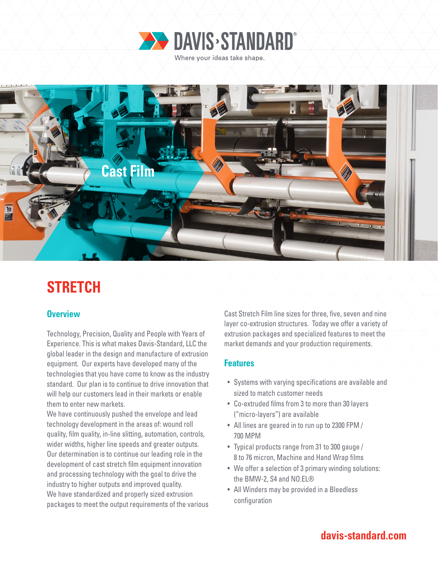



# **STRETCH**

### **Overview**

Technology, Precision, Quality and People with Years of Experience. This is what makes Davis-Standard, LLC the global leader in the design and manufacture of extrusion equipment. Our experts have developed many of the technologies that you have come to know as the industry standard. Our plan is to continue to drive innovation that will help our customers lead in their markets or enable them to enter new markets.

We have continuously pushed the envelope and lead technology development in the areas of: wound roll quality, film quality, in-line slitting, automation, controls, wider widths, higher line speeds and greater outputs. Our determination is to continue our leading role in the development of cast stretch film equipment innovation and processing technology with the goal to drive the industry to higher outputs and improved quality. We have standardized and properly sized extrusion packages to meet the output requirements of the various

Cast Stretch Film line sizes for three, five, seven and nine layer co-extrusion structures. Today we offer a variety of extrusion packages and specialized features to meet the market demands and your production requirements.

#### **Features**

- Systems with varying specifications are available and sized to match customer needs
- Co-extruded films from 3 to more than 30 layers ("micro-layers") are available
- All lines are geared in to run up to 2300 FPM / 700 MPM
- Typical products range from 31 to 300 gauge / 8 to 76 micron, Machine and Hand Wrap films
- We offer a selection of 3 primary winding solutions: the BMW-2, S4 and NO.EL®
- All Winders may be provided in a Bleedless configuration

## **davis-standard.com**